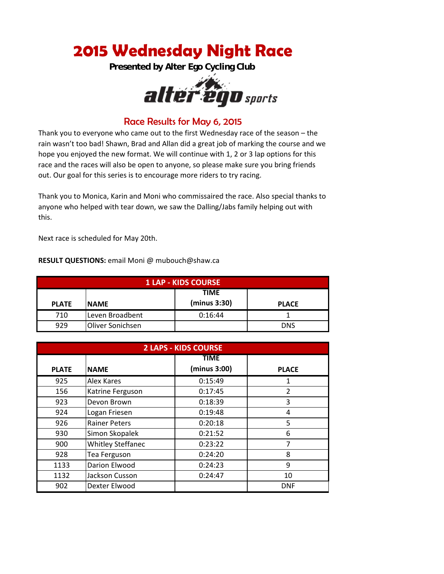## **2015 Wednesday Night Race**

**Presented by Alter Ego Cycling Club** 



## Race Results for May 6, 2015

Thank you to everyone who came out to the first Wednesday race of the season – the rain wasn't too bad! Shawn, Brad and Allan did a great job of marking the course and we hope you enjoyed the new format. We will continue with 1, 2 or 3 lap options for this race and the races will also be open to anyone, so please make sure you bring friends out. Our goal for this series is to encourage more riders to try racing.

Thank you to Monica, Karin and Moni who commissaired the race. Also special thanks to anyone who helped with tear down, we saw the Dalling/Jabs family helping out with this.

Next race is scheduled for May 20th.

**RESULT QUESTIONS:** email Moni @ mubouch@shaw.ca

| <b>1 LAP - KIDS COURSE</b> |                  |                             |              |
|----------------------------|------------------|-----------------------------|--------------|
| <b>PLATE</b>               | <b>NAME</b>      | <b>TIME</b><br>(minus 3:30) | <b>PLACE</b> |
| 710                        | Leven Broadbent  | 0:16:44                     |              |
| 929                        | Oliver Sonichsen |                             | <b>DNS</b>   |

| <b>2 LAPS - KIDS COURSE</b> |                          |              |                |
|-----------------------------|--------------------------|--------------|----------------|
|                             |                          | <b>TIME</b>  |                |
| <b>PLATE</b>                | <b>NAME</b>              | (minus 3:00) | <b>PLACE</b>   |
| 925                         | Alex Kares               | 0:15:49      |                |
| 156                         | Katrine Ferguson         | 0:17:45      | $\overline{2}$ |
| 923                         | Devon Brown              | 0:18:39      | 3              |
| 924                         | Logan Friesen            | 0:19:48      | 4              |
| 926                         | <b>Rainer Peters</b>     | 0:20:18      | 5              |
| 930                         | Simon Skopalek           | 0:21:52      | 6              |
| 900                         | <b>Whitley Steffanec</b> | 0:23:22      | $\overline{7}$ |
| 928                         | <b>Tea Ferguson</b>      | 0:24:20      | 8              |
| 1133                        | Darion Elwood            | 0:24:23      | 9              |
| 1132                        | Jackson Cusson           | 0:24:47      | 10             |
| 902                         | Dexter Elwood            |              | <b>DNF</b>     |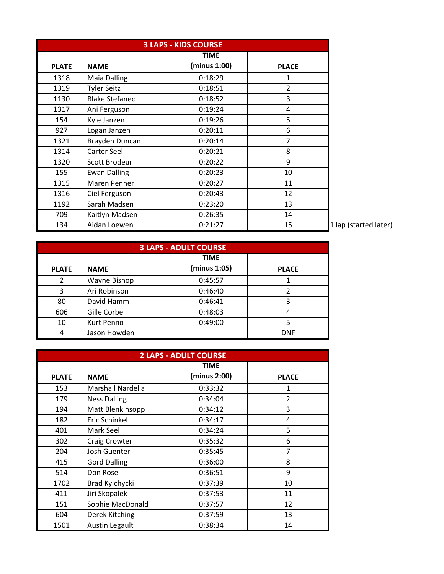| <b>3 LAPS - KIDS COURSE</b> |                       |              |                |
|-----------------------------|-----------------------|--------------|----------------|
|                             |                       | <b>TIME</b>  |                |
| <b>PLATE</b>                | <b>NAME</b>           | (minus 1:00) | <b>PLACE</b>   |
| 1318                        | <b>Maia Dalling</b>   | 0:18:29      | 1              |
| 1319                        | <b>Tyler Seitz</b>    | 0:18:51      | $\overline{2}$ |
| 1130                        | <b>Blake Stefanec</b> | 0:18:52      | 3              |
| 1317                        | Ani Ferguson          | 0:19:24      | 4              |
| 154                         | Kyle Janzen           | 0:19:26      | 5              |
| 927                         | Logan Janzen          | 0:20:11      | 6              |
| 1321                        | Brayden Duncan        | 0:20:14      | 7              |
| 1314                        | Carter Seel           | 0:20:21      | 8              |
| 1320                        | Scott Brodeur         | 0:20:22      | 9              |
| 155                         | <b>Ewan Dalling</b>   | 0:20:23      | 10             |
| 1315                        | <b>Maren Penner</b>   | 0:20:27      | 11             |
| 1316                        | Ciel Ferguson         | 0:20:43      | 12             |
| 1192                        | Sarah Madsen          | 0:23:20      | 13             |
| 709                         | Kaitlyn Madsen        | 0:26:35      | 14             |
| 134                         | Aidan Loewen          | 0:21:27      | 15             |

. lap (started later)

| <b>3 LAPS - ADULT COURSE</b> |                     |                             |              |
|------------------------------|---------------------|-----------------------------|--------------|
| <b>PLATE</b>                 | <b>INAME</b>        | <b>TIME</b><br>(minus 1:05) | <b>PLACE</b> |
| ว                            | <b>Wayne Bishop</b> | 0:45:57                     |              |
| 3                            | Ari Robinson        | 0:46:40                     |              |
| 80                           | David Hamm          | 0:46:41                     | 3            |
| 606                          | Gille Corbeil       | 0:48:03                     |              |
| 10                           | <b>Kurt Penno</b>   | 0:49:00                     |              |
| 4                            | Jason Howden        |                             | <b>DNF</b>   |

| <b>2 LAPS - ADULT COURSE</b> |                       |              |                |
|------------------------------|-----------------------|--------------|----------------|
|                              |                       | <b>TIME</b>  |                |
| <b>PLATE</b>                 | <b>NAME</b>           | (minus 2:00) | <b>PLACE</b>   |
| 153                          | Marshall Nardella     | 0:33:32      | 1              |
| 179                          | <b>Ness Dalling</b>   | 0:34:04      | $\overline{2}$ |
| 194                          | Matt Blenkinsopp      | 0:34:12      | 3              |
| 182                          | Eric Schinkel         | 0:34:17      | 4              |
| 401                          | Mark Seel             | 0:34:24      | 5              |
| 302                          | Craig Crowter         | 0:35:32      | 6              |
| 204                          | Josh Guenter          | 0:35:45      | $\overline{7}$ |
| 415                          | <b>Gord Dalling</b>   | 0:36:00      | 8              |
| 514                          | Don Rose              | 0:36:51      | 9              |
| 1702                         | Brad Kylchycki        | 0:37:39      | 10             |
| 411                          | Jiri Skopalek         | 0:37:53      | 11             |
| 151                          | Sophie MacDonald      | 0:37:57      | 12             |
| 604                          | Derek Kitching        | 0:37:59      | 13             |
| 1501                         | <b>Austin Legault</b> | 0:38:34      | 14             |